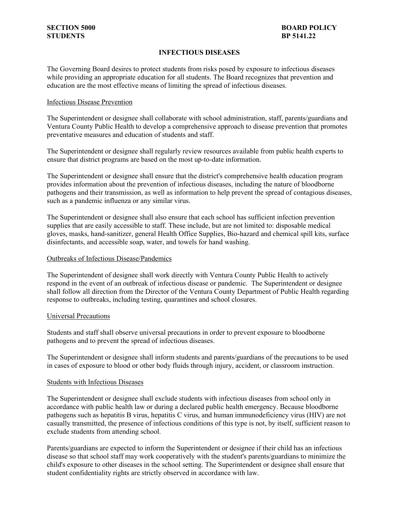# **INFECTIOUS DISEASES**

The Governing Board desires to protect students from risks posed by exposure to infectious diseases while providing an appropriate education for all students. The Board recognizes that prevention and education are the most effective means of limiting the spread of infectious diseases.

## Infectious Disease Prevention

The Superintendent or designee shall collaborate with school administration, staff, parents/guardians and Ventura County Public Health to develop a comprehensive approach to disease prevention that promotes preventative measures and education of students and staff.

 The Superintendent or designee shall regularly review resources available from public health experts to ensure that district programs are based on the most up-to-date information.

 pathogens and their transmission, as well as information to help prevent the spread of contagious diseases, such as a pandemic influenza or any similar virus. The Superintendent or designee shall ensure that the district's comprehensive health education program provides information about the prevention of infectious diseases, including the nature of bloodborne

 The Superintendent or designee shall also ensure that each school has sufficient infection prevention gloves, masks, hand-sanitizer, general Health Office Supplies, Bio-hazard and chemical spill kits, surface supplies that are easily accessible to staff. These include, but are not limited to: disposable medical disinfectants, and accessible soap, water, and towels for hand washing.

### Outbreaks of Infectious Disease/Pandemics

 respond in the event of an outbreak of infectious disease or pandemic. The Superintendent or designee The Superintendent of designee shall work directly with Ventura County Public Health to actively shall follow all direction from the Director of the Ventura County Department of Public Health regarding response to outbreaks, including testing, quarantines and school closures.

### Universal Precautions

 Students and staff shall observe universal precautions in order to prevent exposure to bloodborne pathogens and to prevent the spread of infectious diseases.

 in cases of exposure to blood or other body fluids through injury, accident, or classroom instruction. The Superintendent or designee shall inform students and parents/guardians of the precautions to be used

### Students with Infectious Diseases

 The Superintendent or designee shall exclude students with infectious diseases from school only in accordance with public health law or during a declared public health emergency. Because bloodborne casually transmitted, the presence of infectious conditions of this type is not, by itself, sufficient reason to pathogens such as hepatitis B virus, hepatitis C virus, and human immunodeficiency virus (HIV) are not exclude students from attending school.

 Parents/guardians are expected to inform the Superintendent or designee if their child has an infectious disease so that school staff may work cooperatively with the student's parents/guardians to minimize the child's exposure to other diseases in the school setting. The Superintendent or designee shall ensure that student confidentiality rights are strictly observed in accordance with law.